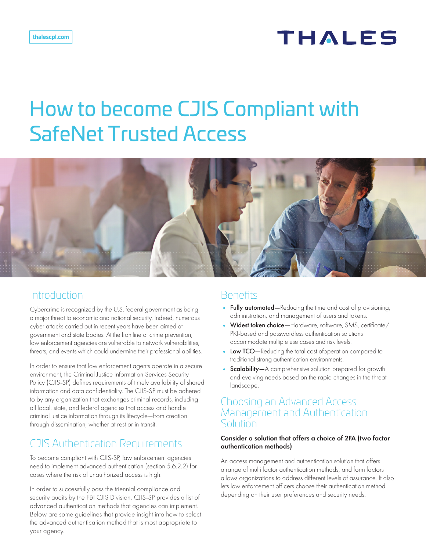# **THALES**

# How to become CJIS Compliant with SafeNet Trusted Access



## Introduction

Cybercrime is recognized by the U.S. federal government as being a major threat to economic and national security. Indeed, numerous cyber attacks carried out in recent years have been aimed at government and state bodies. At the frontline of crime prevention, law enforcement agencies are vulnerable to network vulnerabilities, threats, and events which could undermine their professional abilities.

In order to ensure that law enforcement agents operate in a secure environment, the Criminal Justice Information Services Security Policy (CJIS-SP) defines requirements of timely availability of shared information and data confidentiality. The CJIS-SP must be adhered to by any organization that exchanges criminal records, including all local, state, and federal agencies that access and handle criminal justice information through its lifecycle—from creation through dissemination, whether at rest or in transit.

# CJIS Authentication Requirements

To become compliant with CJIS-SP, law enforcement agencies need to implement advanced authentication (section 5.6.2.2) for cases where the risk of unauthorized access is high.

In order to successfully pass the triennial compliance and security audits by the FBI CJIS Division, CJIS-SP provides a list of advanced authentication methods that agencies can implement. Below are some guidelines that provide insight into how to select the advanced authentication method that is most appropriate to your agency.

# **Benefits**

- **•** Fully automated—Reducing the time and cost of provisioning, administration, and management of users and tokens.
- Widest token choice-Hardware, software, SMS, certificate/ PKI-based and passwordless authentication solutions accommodate multiple use cases and risk levels.
- **•** Low TCO—Reducing the total cost ofoperation compared to traditional strong authentication environments.
- **Scalability**—A comprehensive solution prepared for growth and evolving needs based on the rapid changes in the threat landscape.

### Choosing an Advanced Access Management and Authentication **Solution**

#### Consider a solution that offers a choice of 2FA (two factor authentication methods)

An access management and authentication solution that offers a range of multi factor authentication methods, and form factors allows organizations to address different levels of assurance. It also lets law enforcement officers choose their authentication method depending on their user preferences and security needs.